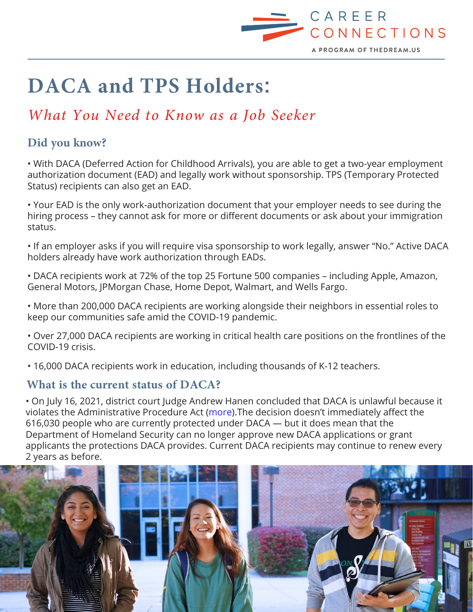

# **DACA and TPS Holders**:

## *What You Need to Know as a Job Seeker*

#### **Did you know?**

• With DACA (Deferred Action for Childhood Arrivals), you are able to get a two-year employment authorization document (EAD) and legally work without sponsorship. TPS (Temporary Protected Status) recipients can also get an EAD.

• Your EAD is the only work-authorization document that your employer needs to see during the hiring process – they cannot ask for more or different documents or ask about your immigration status.

• If an employer asks if you will require visa sponsorship to work legally, answer "No." Active DACA holders already have work authorization through EADs.

• DACA recipients work at 72% of the top 25 Fortune 500 companies – including Apple, Amazon, General Motors, JPMorgan Chase, Home Depot, Walmart, and Wells Fargo.

• More than 200,000 DACA recipients are working alongside their neighbors in essential roles to keep our communities safe amid the COVID-19 pandemic.

• Over 27,000 DACA recipients are working in critical health care positions on the frontlines of the COVID-19 crisis.

• 16,000 DACA recipients work in education, including thousands of K-12 teachers.

#### **What is the current status of DACA?**

• On July 16, 2021, district court Judge Andrew Hanen concluded that DACA is unlawful because it violates the Administrative Procedure Act [\(more](https://www.vox.com/2021/7/17/22581276/federal-judge-andrew-hanen-daca-ruling)).The decision doesn't immediately affect the 616,030 people who are currently protected under DACA — but it does mean that the Department of Homeland Security can no longer approve new DACA applications or grant applicants the protections DACA provides. Current DACA recipients may continue to renew every 2 years as before.